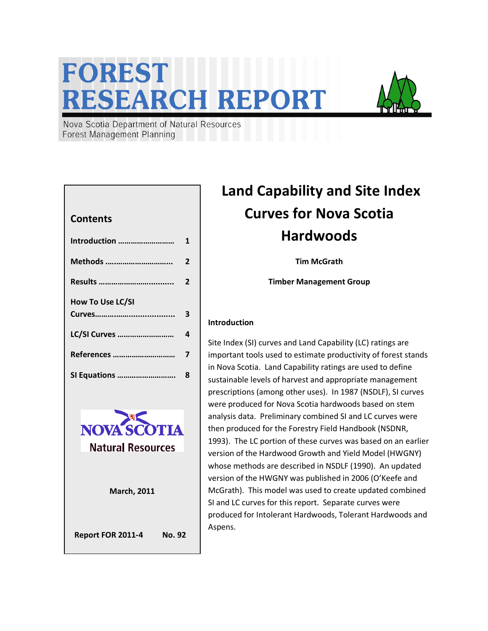# FOREST **RESEARCH REPORT**



Nova Scotia Department of Natural Resources **Forest Management Planning** 

#### **Contents**

| Introduction            | 1              |
|-------------------------|----------------|
| Methods                 | $\overline{2}$ |
| Results                 | $\overline{2}$ |
| <b>How To Use LC/SI</b> |                |
|                         | 3              |
| LC/SI Curves            | 4              |
| References              | 7              |
|                         |                |



## Land Capability and Site Index Curves for Nova Scotia Hardwoods

Tim McGrath

Timber Management Group

#### Introduction

Site Index (SI) curves and Land Capability (LC) ratings are important tools used to estimate productivity of forest stands in Nova Scotia. Land Capability ratings are used to define sustainable levels of harvest and appropriate management prescriptions (among other uses). In 1987 (NSDLF), SI curves were produced for Nova Scotia hardwoods based on stem analysis data. Preliminary combined SI and LC curves were then produced for the Forestry Field Handbook (NSDNR, 1993). The LC portion of these curves was based on an earlier version of the Hardwood Growth and Yield Model (HWGNY) whose methods are described in NSDLF (1990). An updated version of the HWGNY was published in 2006 (O'Keefe and McGrath). This model was used to create updated combined SI and LC curves for this report. Separate curves were produced for Intolerant Hardwoods, Tolerant Hardwoods and Aspens.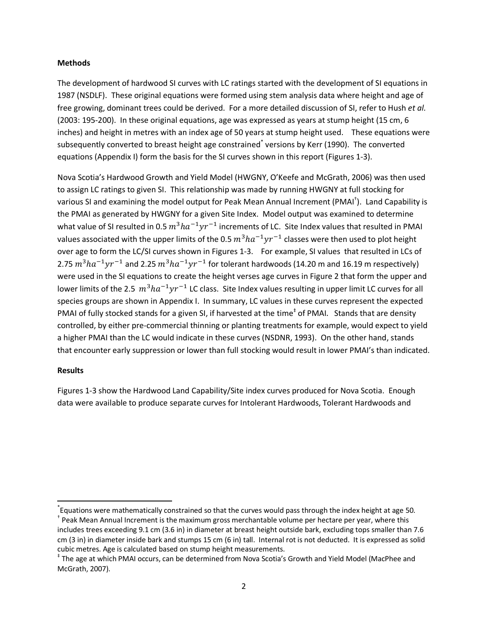#### Methods

The development of hardwood SI curves with LC ratings started with the development of SI equations in 1987 (NSDLF). These original equations were formed using stem analysis data where height and age of free growing, dominant trees could be derived. For a more detailed discussion of SI, refer to Hush et al. (2003: 195-200). In these original equations, age was expressed as years at stump height (15 cm, 6 inches) and height in metres with an index age of 50 years at stump height used. These equations were subsequently converted to breast height age constrained<sup>\*</sup> versions by Kerr (1990). The converted equations (Appendix I) form the basis for the SI curves shown in this report (Figures 1-3).

Nova Scotia's Hardwood Growth and Yield Model (HWGNY, O'Keefe and McGrath, 2006) was then used to assign LC ratings to given SI. This relationship was made by running HWGNY at full stocking for various SI and examining the model output for Peak Mean Annual Increment (PMAI<sup>†</sup>). Land Capability is the PMAI as generated by HWGNY for a given Site Index. Model output was examined to determine what value of SI resulted in 0.5  $m^3ha^{-1}yr^{-1}$  increments of LC. Site Index values that resulted in PMAI values associated with the upper limits of the 0.5  $m^3ha^{-1}yr^{-1}$  classes were then used to plot height over age to form the LC/SI curves shown in Figures 1-3. For example, SI values that resulted in LCs of 2.75  $m^3ha^{-1}yr^{-1}$  and 2.25  $m^3ha^{-1}yr^{-1}$  for tolerant hardwoods (14.20 m and 16.19 m respectively) were used in the SI equations to create the height verses age curves in Figure 2 that form the upper and lower limits of the 2.5  $m^3ha^{-1}yr^{-1}$  LC class. Site Index values resulting in upper limit LC curves for all species groups are shown in Appendix I. In summary, LC values in these curves represent the expected PMAI of fully stocked stands for a given SI, if harvested at the time<sup>‡</sup> of PMAI. Stands that are density controlled, by either pre-commercial thinning or planting treatments for example, would expect to yield a higher PMAI than the LC would indicate in these curves (NSDNR, 1993). On the other hand, stands that encounter early suppression or lower than full stocking would result in lower PMAI's than indicated.

#### Results

<u>.</u>

Figures 1-3 show the Hardwood Land Capability/Site index curves produced for Nova Scotia. Enough data were available to produce separate curves for Intolerant Hardwoods, Tolerant Hardwoods and

<sup>\*</sup> Equations were mathematically constrained so that the curves would pass through the index height at age 50. † Peak Mean Annual Increment is the maximum gross merchantable volume per hectare per year, where this includes trees exceeding 9.1 cm (3.6 in) in diameter at breast height outside bark, excluding tops smaller than 7.6 cm (3 in) in diameter inside bark and stumps 15 cm (6 in) tall. Internal rot is not deducted. It is expressed as solid cubic metres. Age is calculated based on stump height measurements.

<sup>‡</sup> The age at which PMAI occurs, can be determined from Nova Scotia's Growth and Yield Model (MacPhee and McGrath, 2007).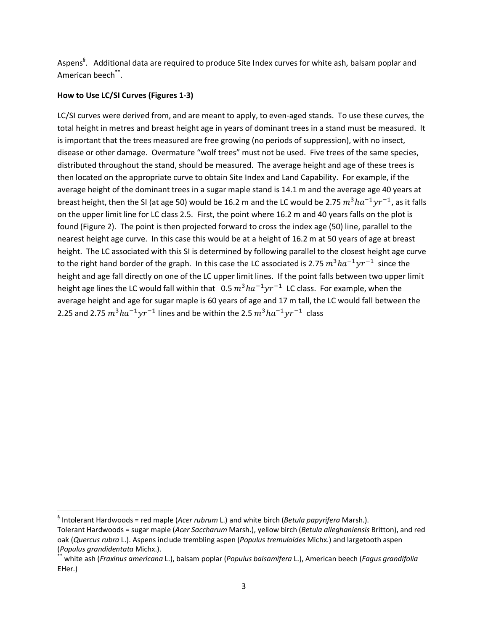Aspens<sup>§</sup>. Additional data are required to produce Site Index curves for white ash, balsam poplar and American beech\*\*.

#### How to Use LC/SI Curves (Figures 1-3)

-

LC/SI curves were derived from, and are meant to apply, to even-aged stands. To use these curves, the total height in metres and breast height age in years of dominant trees in a stand must be measured. It is important that the trees measured are free growing (no periods of suppression), with no insect, disease or other damage. Overmature "wolf trees" must not be used. Five trees of the same species, distributed throughout the stand, should be measured. The average height and age of these trees is then located on the appropriate curve to obtain Site Index and Land Capability. For example, if the average height of the dominant trees in a sugar maple stand is 14.1 m and the average age 40 years at breast height, then the SI (at age 50) would be 16.2 m and the LC would be 2.75  $m^3ha^{-1}yr^{-1}$ , as it falls on the upper limit line for LC class 2.5. First, the point where 16.2 m and 40 years falls on the plot is found (Figure 2). The point is then projected forward to cross the index age (50) line, parallel to the nearest height age curve. In this case this would be at a height of 16.2 m at 50 years of age at breast height. The LC associated with this SI is determined by following parallel to the closest height age curve to the right hand border of the graph. In this case the LC associated is 2.75  $m^3ha^{-1}yr^{-1}$  since the height and age fall directly on one of the LC upper limit lines. If the point falls between two upper limit height age lines the LC would fall within that  $\, 0.5 \, m^3 h a^{-1} yr^{-1} \,$  LC class. For example, when the average height and age for sugar maple is 60 years of age and 17 m tall, the LC would fall between the 2.25 and 2.75  $m^3ha^{-1}yr^{-1}$  lines and be within the 2.5  $m^3ha^{-1}yr^{-1}$  class

 $\frac{1}{3}$  Intolerant Hardwoods = red maple (Acer rubrum L.) and white birch (Betula papyrifera Marsh.).

Tolerant Hardwoods = sugar maple (Acer Saccharum Marsh.), yellow birch (Betula alleghaniensis Britton), and red oak (Quercus rubra L.). Aspens include trembling aspen (Populus tremuloides Michx.) and largetooth aspen (Populus grandidentata Michx.).

white ash (Fraxinus americana L.), balsam poplar (Populus balsamifera L.), American beech (Fagus grandifolia EHer.)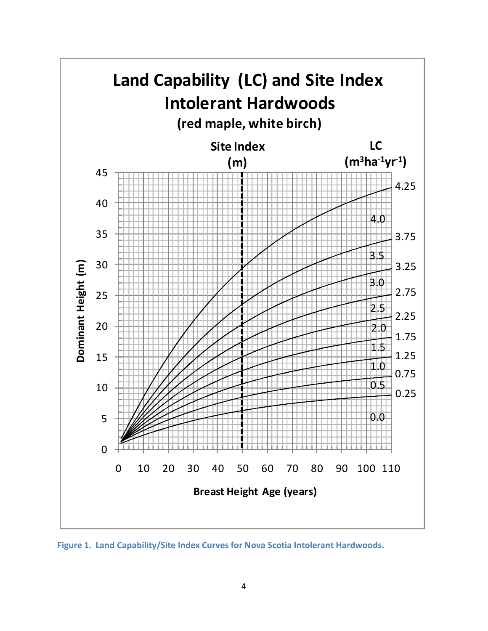

Figure 1. Land Capability/Site Index Curves for Nova Scotia Intolerant Hardwoods.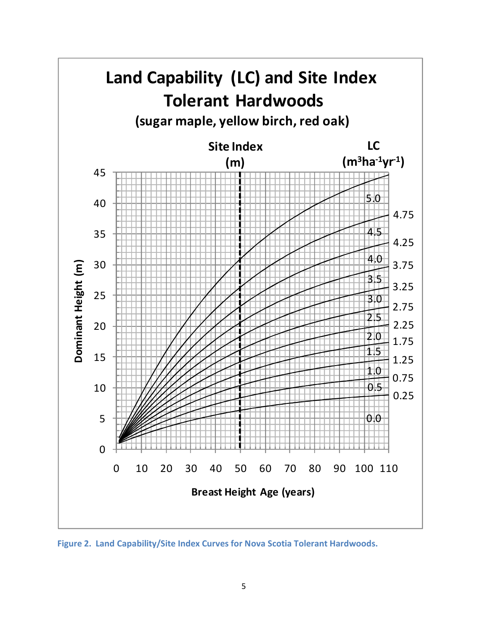

Figure 2. Land Capability/Site Index Curves for Nova Scotia Tolerant Hardwoods.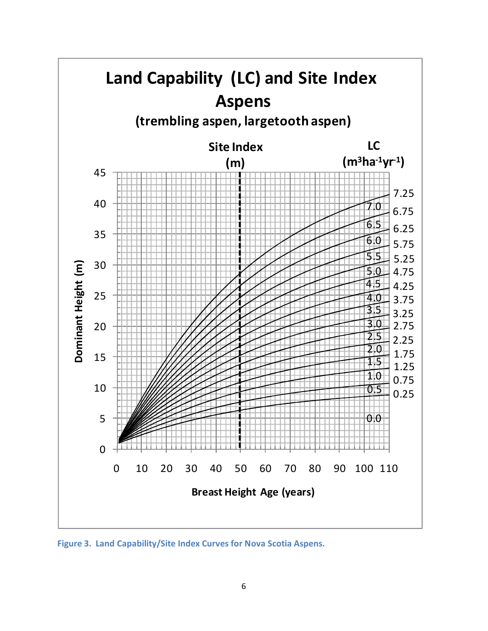

Figure 3. Land Capability/Site Index Curves for Nova Scotia Aspens.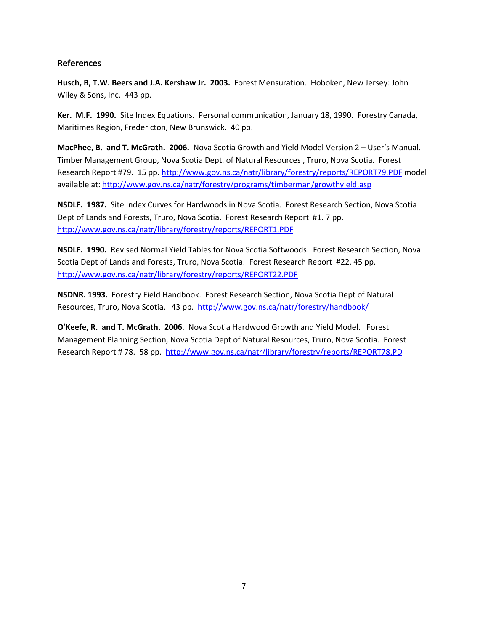#### References

Husch, B, T.W. Beers and J.A. Kershaw Jr. 2003. Forest Mensuration. Hoboken, New Jersey: John Wiley & Sons, Inc. 443 pp.

Ker. M.F. 1990. Site Index Equations. Personal communication, January 18, 1990. Forestry Canada, Maritimes Region, Fredericton, New Brunswick. 40 pp.

MacPhee, B. and T. McGrath. 2006. Nova Scotia Growth and Yield Model Version 2 – User's Manual. Timber Management Group, Nova Scotia Dept. of Natural Resources , Truro, Nova Scotia. Forest Research Report #79. 15 pp. http://www.gov.ns.ca/natr/library/forestry/reports/REPORT79.PDF model available at: http://www.gov.ns.ca/natr/forestry/programs/timberman/growthyield.asp

NSDLF. 1987. Site Index Curves for Hardwoods in Nova Scotia. Forest Research Section, Nova Scotia Dept of Lands and Forests, Truro, Nova Scotia. Forest Research Report #1. 7 pp. http://www.gov.ns.ca/natr/library/forestry/reports/REPORT1.PDF

NSDLF. 1990. Revised Normal Yield Tables for Nova Scotia Softwoods. Forest Research Section, Nova Scotia Dept of Lands and Forests, Truro, Nova Scotia. Forest Research Report #22. 45 pp. http://www.gov.ns.ca/natr/library/forestry/reports/REPORT22.PDF

NSDNR. 1993. Forestry Field Handbook. Forest Research Section, Nova Scotia Dept of Natural Resources, Truro, Nova Scotia. 43 pp. http://www.gov.ns.ca/natr/forestry/handbook/

O'Keefe, R. and T. McGrath. 2006. Nova Scotia Hardwood Growth and Yield Model. Forest Management Planning Section, Nova Scotia Dept of Natural Resources, Truro, Nova Scotia. Forest Research Report # 78. 58 pp. http://www.gov.ns.ca/natr/library/forestry/reports/REPORT78.PD